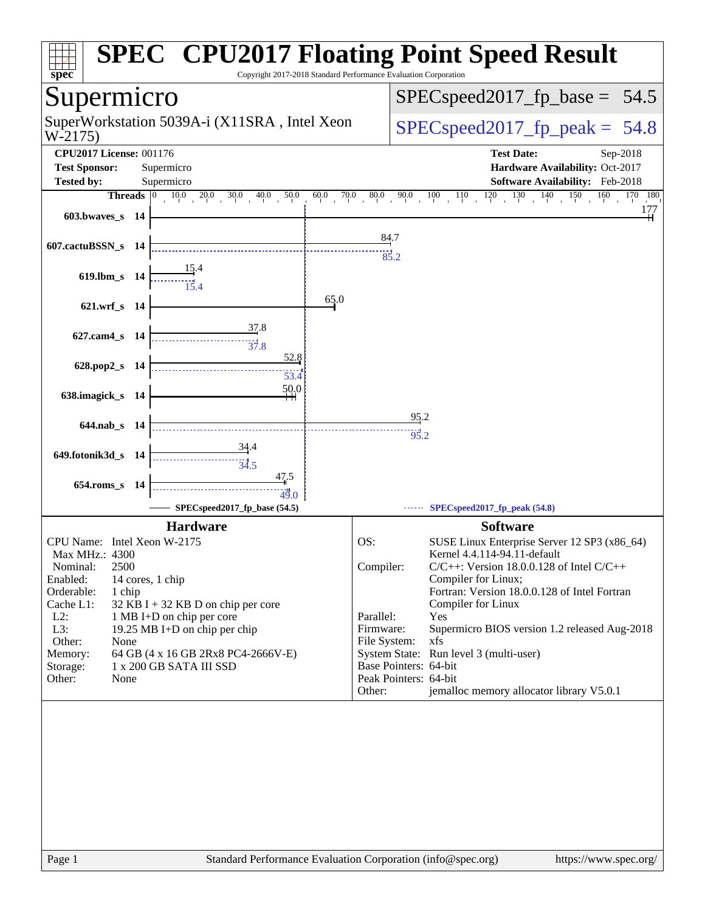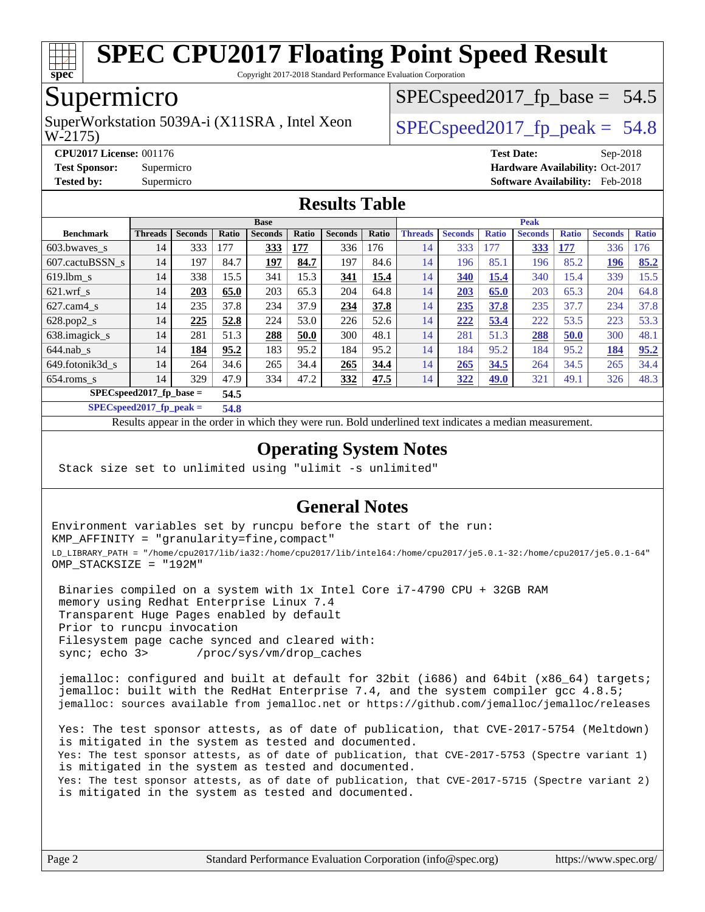

Copyright 2017-2018 Standard Performance Evaluation Corporation

## Supermicro

W-2175) SuperWorkstation 5039A-i (X11SRA, Intel Xeon  $\vert$  SPECspeed2017 fp\_peak = 54.8

 $SPECspeed2017_fp\_base = 54.5$ 

**[CPU2017 License:](http://www.spec.org/auto/cpu2017/Docs/result-fields.html#CPU2017License)** 001176 **[Test Date:](http://www.spec.org/auto/cpu2017/Docs/result-fields.html#TestDate)** Sep-2018 **[Test Sponsor:](http://www.spec.org/auto/cpu2017/Docs/result-fields.html#TestSponsor)** Supermicro **[Hardware Availability:](http://www.spec.org/auto/cpu2017/Docs/result-fields.html#HardwareAvailability)** Oct-2017 **[Tested by:](http://www.spec.org/auto/cpu2017/Docs/result-fields.html#Testedby)** Supermicro **[Software Availability:](http://www.spec.org/auto/cpu2017/Docs/result-fields.html#SoftwareAvailability)** Feb-2018

#### **[Results Table](http://www.spec.org/auto/cpu2017/Docs/result-fields.html#ResultsTable)**

|                            |                |                |              | <b>Base</b>    |       |                |       |                |                |              | <b>Peak</b>    |              |                |              |
|----------------------------|----------------|----------------|--------------|----------------|-------|----------------|-------|----------------|----------------|--------------|----------------|--------------|----------------|--------------|
| <b>Benchmark</b>           | <b>Threads</b> | <b>Seconds</b> | <b>Ratio</b> | <b>Seconds</b> | Ratio | <b>Seconds</b> | Ratio | <b>Threads</b> | <b>Seconds</b> | <b>Ratio</b> | <b>Seconds</b> | <b>Ratio</b> | <b>Seconds</b> | <b>Ratio</b> |
| 603.bwayes s               | 14             | 333            | 177          | 333            | 177   | 336            | 176   | 14             | 333            | 177          | <u>333</u>     | 177          | 336            | 176          |
| 607.cactuBSSN s            | 14             | 197            | 84.7         | 197            | 84.7  | 197            | 84.6  | 14             | 196            | 85.1         | 196            | 85.2         | 196            | 85.2         |
| $619.1$ bm s               | 14             | 338            | 15.5         | 341            | 15.3  | 341            | 15.4  | 14             | 340            | 15.4         | 340            | 15.4         | 339            | 15.5         |
| $621$ wrf s                | 14             | 203            | 65.0         | 203            | 65.3  | 204            | 64.8  | 14             | 203            | 65.0         | 203            | 65.3         | 204            | 64.8         |
| $627$ .cam4 s              | 14             | 235            | 37.8         | 234            | 37.9  | 234            | 37.8  | 14             | 235            | 37.8         | 235            | 37.7         | 234            | 37.8         |
| $628.pop2_s$               | 14             | 225            | 52.8         | 224            | 53.0  | 226            | 52.6  | 14             | 222            | 53.4         | 222            | 53.5         | 223            | 53.3         |
| 638.imagick_s              | 14             | 281            | 51.3         | 288            | 50.0  | 300            | 48.1  | 14             | 281            | 51.3         | 288            | 50.0         | 300            | 48.1         |
| $644$ .nab s               | 14             | 184            | 95.2         | 183            | 95.2  | 184            | 95.2  | 14             | 184            | 95.2         | 184            | 95.2         | 184            | 95.2         |
| 649.fotonik3d s            | 14             | 264            | 34.6         | 265            | 34.4  | 265            | 34.4  | 14             | 265            | 34.5         | 264            | 34.5         | 265            | 34.4         |
| $654$ .roms s              | 14             | 329            | 47.9         | 334            | 47.2  | 332            | 47.5  | 14             | 322            | 49.0         | 321            | 49.1         | 326            | 48.3         |
| $SPECspeed2017_fp\_base =$ |                |                | 54.5         |                |       |                |       |                |                |              |                |              |                |              |

**[SPECspeed2017\\_fp\\_peak =](http://www.spec.org/auto/cpu2017/Docs/result-fields.html#SPECspeed2017fppeak) 54.8**

Results appear in the [order in which they were run.](http://www.spec.org/auto/cpu2017/Docs/result-fields.html#RunOrder) Bold underlined text [indicates a median measurement](http://www.spec.org/auto/cpu2017/Docs/result-fields.html#Median).

#### **[Operating System Notes](http://www.spec.org/auto/cpu2017/Docs/result-fields.html#OperatingSystemNotes)**

Stack size set to unlimited using "ulimit -s unlimited"

### **[General Notes](http://www.spec.org/auto/cpu2017/Docs/result-fields.html#GeneralNotes)**

Environment variables set by runcpu before the start of the run: KMP\_AFFINITY = "granularity=fine,compact" LD\_LIBRARY\_PATH = "/home/cpu2017/lib/ia32:/home/cpu2017/lib/intel64:/home/cpu2017/je5.0.1-32:/home/cpu2017/je5.0.1-64" OMP\_STACKSIZE = "192M"

 Binaries compiled on a system with 1x Intel Core i7-4790 CPU + 32GB RAM memory using Redhat Enterprise Linux 7.4 Transparent Huge Pages enabled by default Prior to runcpu invocation Filesystem page cache synced and cleared with: sync; echo 3> /proc/sys/vm/drop\_caches

 jemalloc: configured and built at default for 32bit (i686) and 64bit (x86\_64) targets; jemalloc: built with the RedHat Enterprise 7.4, and the system compiler gcc 4.8.5; jemalloc: sources available from jemalloc.net or <https://github.com/jemalloc/jemalloc/releases>

 Yes: The test sponsor attests, as of date of publication, that CVE-2017-5754 (Meltdown) is mitigated in the system as tested and documented. Yes: The test sponsor attests, as of date of publication, that CVE-2017-5753 (Spectre variant 1) is mitigated in the system as tested and documented. Yes: The test sponsor attests, as of date of publication, that CVE-2017-5715 (Spectre variant 2) is mitigated in the system as tested and documented.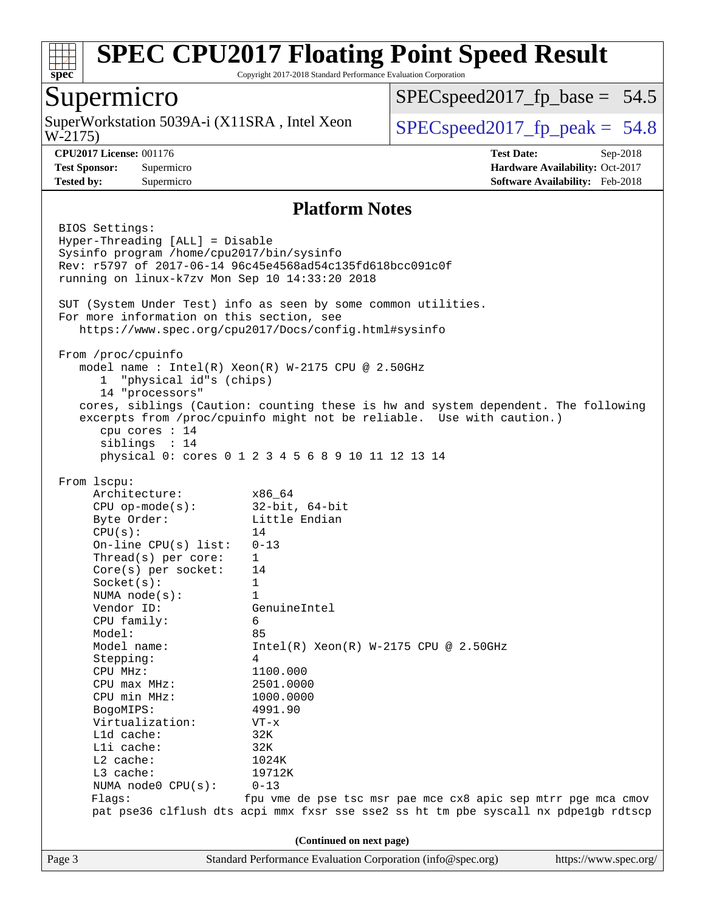

Copyright 2017-2018 Standard Performance Evaluation Corporation

## Supermicro

W-2175) SuperWorkstation 5039A-i (X11SRA, Intel Xeon  $\big|$  [SPECspeed2017\\_fp\\_peak =](http://www.spec.org/auto/cpu2017/Docs/result-fields.html#SPECspeed2017fppeak) 54.8

 $SPECspeed2017_fp\_base = 54.5$ 

**[CPU2017 License:](http://www.spec.org/auto/cpu2017/Docs/result-fields.html#CPU2017License)** 001176 **[Test Date:](http://www.spec.org/auto/cpu2017/Docs/result-fields.html#TestDate)** Sep-2018 **[Test Sponsor:](http://www.spec.org/auto/cpu2017/Docs/result-fields.html#TestSponsor)** Supermicro **[Hardware Availability:](http://www.spec.org/auto/cpu2017/Docs/result-fields.html#HardwareAvailability)** Oct-2017 **[Tested by:](http://www.spec.org/auto/cpu2017/Docs/result-fields.html#Testedby)** Supermicro **[Software Availability:](http://www.spec.org/auto/cpu2017/Docs/result-fields.html#SoftwareAvailability)** Feb-2018

#### **[Platform Notes](http://www.spec.org/auto/cpu2017/Docs/result-fields.html#PlatformNotes)**

Page 3 Standard Performance Evaluation Corporation [\(info@spec.org\)](mailto:info@spec.org) <https://www.spec.org/> BIOS Settings: Hyper-Threading [ALL] = Disable Sysinfo program /home/cpu2017/bin/sysinfo Rev: r5797 of 2017-06-14 96c45e4568ad54c135fd618bcc091c0f running on linux-k7zv Mon Sep 10 14:33:20 2018 SUT (System Under Test) info as seen by some common utilities. For more information on this section, see <https://www.spec.org/cpu2017/Docs/config.html#sysinfo> From /proc/cpuinfo model name : Intel(R) Xeon(R) W-2175 CPU @ 2.50GHz 1 "physical id"s (chips) 14 "processors" cores, siblings (Caution: counting these is hw and system dependent. The following excerpts from /proc/cpuinfo might not be reliable. Use with caution.) cpu cores : 14 siblings : 14 physical 0: cores 0 1 2 3 4 5 6 8 9 10 11 12 13 14 From lscpu: Architecture: x86\_64 CPU op-mode(s): 32-bit, 64-bit Byte Order: Little Endian  $CPU(s):$  14 On-line CPU(s) list: 0-13 Thread(s) per core: 1 Core(s) per socket: 14 Socket(s): 1 NUMA node(s): 1 Vendor ID: GenuineIntel CPU family: 6 Model: 85 Model name: Intel(R) Xeon(R) W-2175 CPU @ 2.50GHz Stepping: 4 CPU MHz: 1100.000 CPU max MHz: 2501.0000 CPU min MHz: 1000.0000 BogoMIPS: 4991.90 Virtualization: VT-x L1d cache: 32K L1i cache: 32K L2 cache: 1024K L3 cache: 19712K NUMA node0 CPU(s): 0-13 Flags: fpu vme de pse tsc msr pae mce cx8 apic sep mtrr pge mca cmov pat pse36 clflush dts acpi mmx fxsr sse sse2 ss ht tm pbe syscall nx pdpe1gb rdtscp **(Continued on next page)**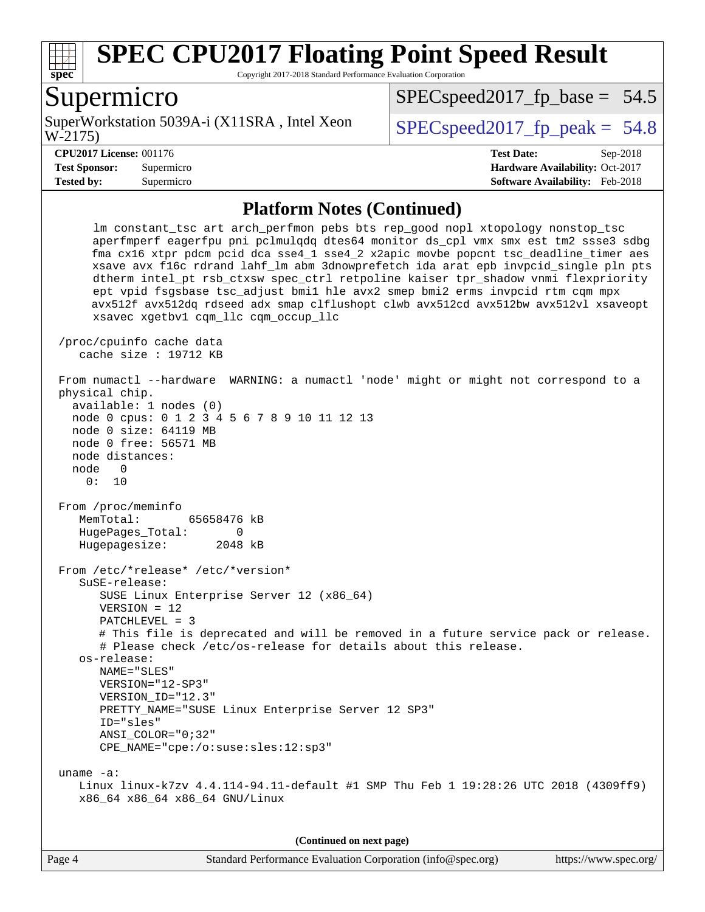

Copyright 2017-2018 Standard Performance Evaluation Corporation

### Supermicro

W-2175) SuperWorkstation 5039A-i (X11SRA, Intel Xeon  $\vert$  SPECspeed2017 fp\_peak = 54.8

 $SPECspeed2017_fp\_base = 54.5$ 

#### **[CPU2017 License:](http://www.spec.org/auto/cpu2017/Docs/result-fields.html#CPU2017License)** 001176 **[Test Date:](http://www.spec.org/auto/cpu2017/Docs/result-fields.html#TestDate)** Sep-2018

**[Test Sponsor:](http://www.spec.org/auto/cpu2017/Docs/result-fields.html#TestSponsor)** Supermicro **[Hardware Availability:](http://www.spec.org/auto/cpu2017/Docs/result-fields.html#HardwareAvailability)** Oct-2017 **[Tested by:](http://www.spec.org/auto/cpu2017/Docs/result-fields.html#Testedby)** Supermicro **[Software Availability:](http://www.spec.org/auto/cpu2017/Docs/result-fields.html#SoftwareAvailability)** Feb-2018

#### **[Platform Notes \(Continued\)](http://www.spec.org/auto/cpu2017/Docs/result-fields.html#PlatformNotes)**

 lm constant\_tsc art arch\_perfmon pebs bts rep\_good nopl xtopology nonstop\_tsc aperfmperf eagerfpu pni pclmulqdq dtes64 monitor ds\_cpl vmx smx est tm2 ssse3 sdbg fma cx16 xtpr pdcm pcid dca sse4\_1 sse4\_2 x2apic movbe popcnt tsc\_deadline\_timer aes xsave avx f16c rdrand lahf\_lm abm 3dnowprefetch ida arat epb invpcid\_single pln pts dtherm intel\_pt rsb\_ctxsw spec\_ctrl retpoline kaiser tpr\_shadow vnmi flexpriority ept vpid fsgsbase tsc\_adjust bmi1 hle avx2 smep bmi2 erms invpcid rtm cqm mpx avx512f avx512dq rdseed adx smap clflushopt clwb avx512cd avx512bw avx512vl xsaveopt xsavec xgetbv1 cqm\_llc cqm\_occup\_llc /proc/cpuinfo cache data cache size : 19712 KB From numactl --hardware WARNING: a numactl 'node' might or might not correspond to a physical chip. available: 1 nodes (0) node 0 cpus: 0 1 2 3 4 5 6 7 8 9 10 11 12 13 node 0 size: 64119 MB node 0 free: 56571 MB node distances: node 0 0: 10 From /proc/meminfo MemTotal: 65658476 kB HugePages\_Total: 0 Hugepagesize: 2048 kB From /etc/\*release\* /etc/\*version\* SuSE-release: SUSE Linux Enterprise Server 12 (x86\_64) VERSION = 12 PATCHLEVEL = 3 # This file is deprecated and will be removed in a future service pack or release. # Please check /etc/os-release for details about this release. os-release: NAME="SLES" VERSION="12-SP3" VERSION\_ID="12.3" PRETTY\_NAME="SUSE Linux Enterprise Server 12 SP3" ID="sles" ANSI\_COLOR="0;32" CPE\_NAME="cpe:/o:suse:sles:12:sp3" uname -a: Linux linux-k7zv 4.4.114-94.11-default #1 SMP Thu Feb 1 19:28:26 UTC 2018 (4309ff9) x86\_64 x86\_64 x86\_64 GNU/Linux

**(Continued on next page)**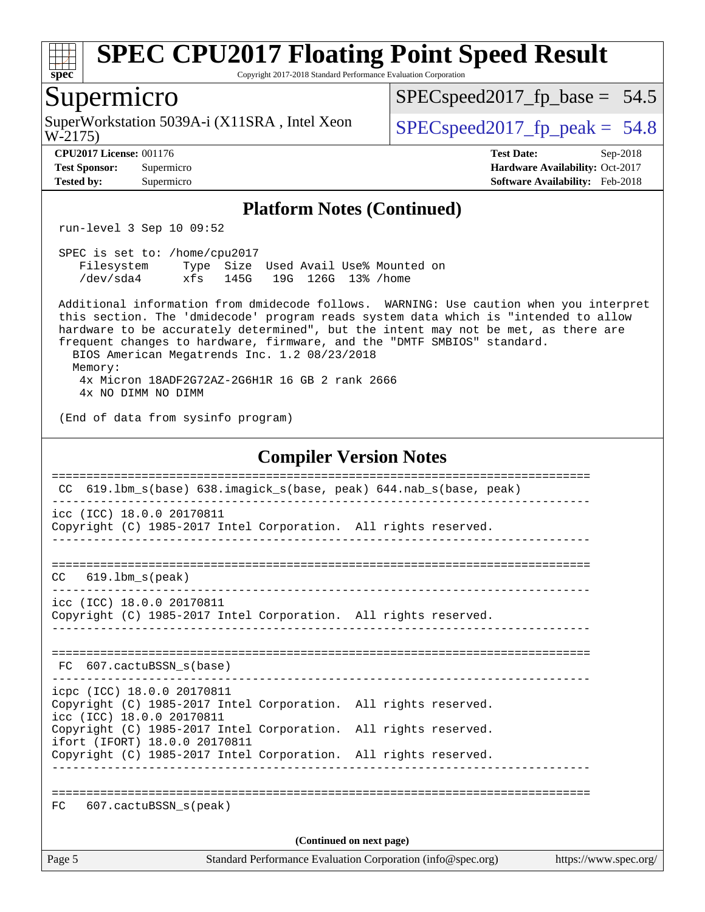

Copyright 2017-2018 Standard Performance Evaluation Corporation

### Supermicro

W-2175) SuperWorkstation 5039A-i (X11SRA, Intel Xeon  $\big|$  [SPECspeed2017\\_fp\\_peak =](http://www.spec.org/auto/cpu2017/Docs/result-fields.html#SPECspeed2017fppeak) 54.8

[SPECspeed2017\\_fp\\_base =](http://www.spec.org/auto/cpu2017/Docs/result-fields.html#SPECspeed2017fpbase) 54.5

**[Tested by:](http://www.spec.org/auto/cpu2017/Docs/result-fields.html#Testedby)** Supermicro **[Software Availability:](http://www.spec.org/auto/cpu2017/Docs/result-fields.html#SoftwareAvailability)** Feb-2018

**[CPU2017 License:](http://www.spec.org/auto/cpu2017/Docs/result-fields.html#CPU2017License)** 001176 **[Test Date:](http://www.spec.org/auto/cpu2017/Docs/result-fields.html#TestDate)** Sep-2018 **[Test Sponsor:](http://www.spec.org/auto/cpu2017/Docs/result-fields.html#TestSponsor)** Supermicro **[Hardware Availability:](http://www.spec.org/auto/cpu2017/Docs/result-fields.html#HardwareAvailability)** Oct-2017

#### **[Platform Notes \(Continued\)](http://www.spec.org/auto/cpu2017/Docs/result-fields.html#PlatformNotes)**

run-level 3 Sep 10 09:52

| SPEC is set to: /home/cpu2017 |     |      |  |                                      |  |
|-------------------------------|-----|------|--|--------------------------------------|--|
| Filesvstem                    |     |      |  | Type Size Used Avail Use% Mounted on |  |
| /dev/sda4                     | xfs | 145G |  | 19G 126G 13% /home                   |  |

 Additional information from dmidecode follows. WARNING: Use caution when you interpret this section. The 'dmidecode' program reads system data which is "intended to allow hardware to be accurately determined", but the intent may not be met, as there are frequent changes to hardware, firmware, and the "DMTF SMBIOS" standard. BIOS American Megatrends Inc. 1.2 08/23/2018 Memory:

 4x Micron 18ADF2G72AZ-2G6H1R 16 GB 2 rank 2666 4x NO DIMM NO DIMM

(End of data from sysinfo program)

#### **[Compiler Version Notes](http://www.spec.org/auto/cpu2017/Docs/result-fields.html#CompilerVersionNotes)**

| CC.    | 619.1bm s(base) 638.imagick s(base, peak) 644.nab s(base, peak)                                                            |                                                             |                       |
|--------|----------------------------------------------------------------------------------------------------------------------------|-------------------------------------------------------------|-----------------------|
|        | icc (ICC) 18.0.0 20170811<br>Copyright (C) 1985-2017 Intel Corporation. All rights reserved.                               |                                                             |                       |
|        | $CC$ 619.1bm $s$ (peak)                                                                                                    |                                                             |                       |
|        | icc (ICC) 18.0.0 20170811<br>Copyright (C) 1985-2017 Intel Corporation. All rights reserved.                               |                                                             |                       |
|        | FC 607.cactuBSSN s(base)                                                                                                   |                                                             |                       |
|        | icpc (ICC) 18.0.0 20170811<br>Copyright (C) 1985-2017 Intel Corporation. All rights reserved.<br>icc (ICC) 18.0.0 20170811 |                                                             |                       |
|        | Copyright (C) 1985-2017 Intel Corporation. All rights reserved.<br>ifort (IFORT) 18.0.0 20170811                           |                                                             |                       |
|        | Copyright (C) 1985-2017 Intel Corporation. All rights reserved.                                                            |                                                             |                       |
| FC     | 607.cactuBSSN s(peak)                                                                                                      |                                                             |                       |
|        |                                                                                                                            | (Continued on next page)                                    |                       |
| Page 5 |                                                                                                                            | Standard Performance Evaluation Corporation (info@spec.org) | https://www.spec.org/ |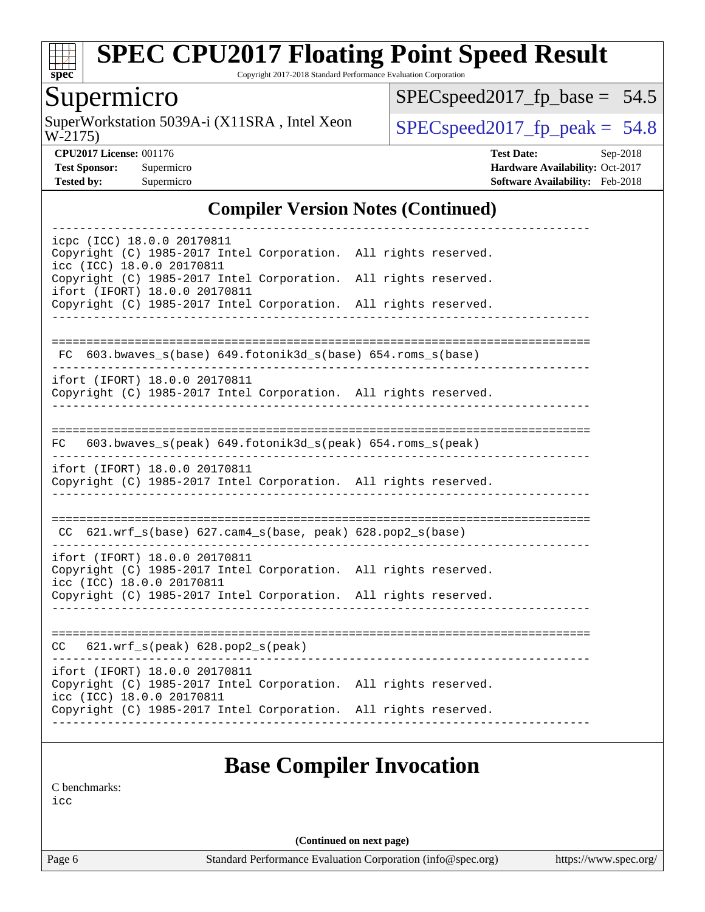

Copyright 2017-2018 Standard Performance Evaluation Corporation

## Supermicro

W-2175) SuperWorkstation 5039A-i (X11SRA, Intel Xeon  $SPEC speed2017$  [p\_peak = 54.8]

[SPECspeed2017\\_fp\\_base =](http://www.spec.org/auto/cpu2017/Docs/result-fields.html#SPECspeed2017fpbase) 54.5

**[CPU2017 License:](http://www.spec.org/auto/cpu2017/Docs/result-fields.html#CPU2017License)** 001176 **[Test Date:](http://www.spec.org/auto/cpu2017/Docs/result-fields.html#TestDate)** Sep-2018 **[Test Sponsor:](http://www.spec.org/auto/cpu2017/Docs/result-fields.html#TestSponsor)** Supermicro **[Hardware Availability:](http://www.spec.org/auto/cpu2017/Docs/result-fields.html#HardwareAvailability)** Oct-2017 **[Tested by:](http://www.spec.org/auto/cpu2017/Docs/result-fields.html#Testedby)** Supermicro **[Software Availability:](http://www.spec.org/auto/cpu2017/Docs/result-fields.html#SoftwareAvailability)** Feb-2018

#### **[Compiler Version Notes \(Continued\)](http://www.spec.org/auto/cpu2017/Docs/result-fields.html#CompilerVersionNotes)**

| icpc (ICC) 18.0.0 20170811<br>Copyright (C) 1985-2017 Intel Corporation. All rights reserved.                                 |                                 |  |
|-------------------------------------------------------------------------------------------------------------------------------|---------------------------------|--|
| icc (ICC) 18.0.0 20170811<br>Copyright (C) 1985-2017 Intel Corporation. All rights reserved.<br>ifort (IFORT) 18.0.0 20170811 |                                 |  |
| Copyright (C) 1985-2017 Intel Corporation. All rights reserved.                                                               |                                 |  |
|                                                                                                                               |                                 |  |
| $603.bwaves_s(base) 649.fotonik3d_s(base) 654.rows_s(base)$<br>FC.                                                            |                                 |  |
| ifort (IFORT) 18.0.0 20170811<br>Copyright (C) 1985-2017 Intel Corporation. All rights reserved.                              |                                 |  |
| 603.bwaves_s(peak) 649.fotonik3d_s(peak) 654.roms_s(peak)<br>FC                                                               |                                 |  |
| ifort (IFORT) 18.0.0 20170811                                                                                                 |                                 |  |
| Copyright (C) 1985-2017 Intel Corporation. All rights reserved.                                                               |                                 |  |
|                                                                                                                               |                                 |  |
| CC $621.wrf_s(base) 627.cam4_s(base, peak) 628.pop2_s(base)$                                                                  |                                 |  |
| ifort (IFORT) 18.0.0 20170811<br>Copyright (C) 1985-2017 Intel Corporation. All rights reserved.<br>icc (ICC) 18.0.0 20170811 |                                 |  |
| Copyright (C) 1985-2017 Intel Corporation. All rights reserved.                                                               |                                 |  |
| $CC$ 621.wrf_s(peak) 628.pop2_s(peak)                                                                                         |                                 |  |
| ifort (IFORT) 18.0.0 20170811<br>Copyright (C) 1985-2017 Intel Corporation. All rights reserved.<br>icc (ICC) 18.0.0 20170811 |                                 |  |
| Copyright (C) 1985-2017 Intel Corporation. All rights reserved.                                                               |                                 |  |
|                                                                                                                               |                                 |  |
|                                                                                                                               | <b>Base Compiler Invocation</b> |  |
|                                                                                                                               |                                 |  |

[C benchmarks](http://www.spec.org/auto/cpu2017/Docs/result-fields.html#Cbenchmarks):

[icc](http://www.spec.org/cpu2017/results/res2018q4/cpu2017-20181002-09063.flags.html#user_CCbase_intel_icc_18.0_66fc1ee009f7361af1fbd72ca7dcefbb700085f36577c54f309893dd4ec40d12360134090235512931783d35fd58c0460139e722d5067c5574d8eaf2b3e37e92)

**(Continued on next page)**

Page 6 Standard Performance Evaluation Corporation [\(info@spec.org\)](mailto:info@spec.org) <https://www.spec.org/>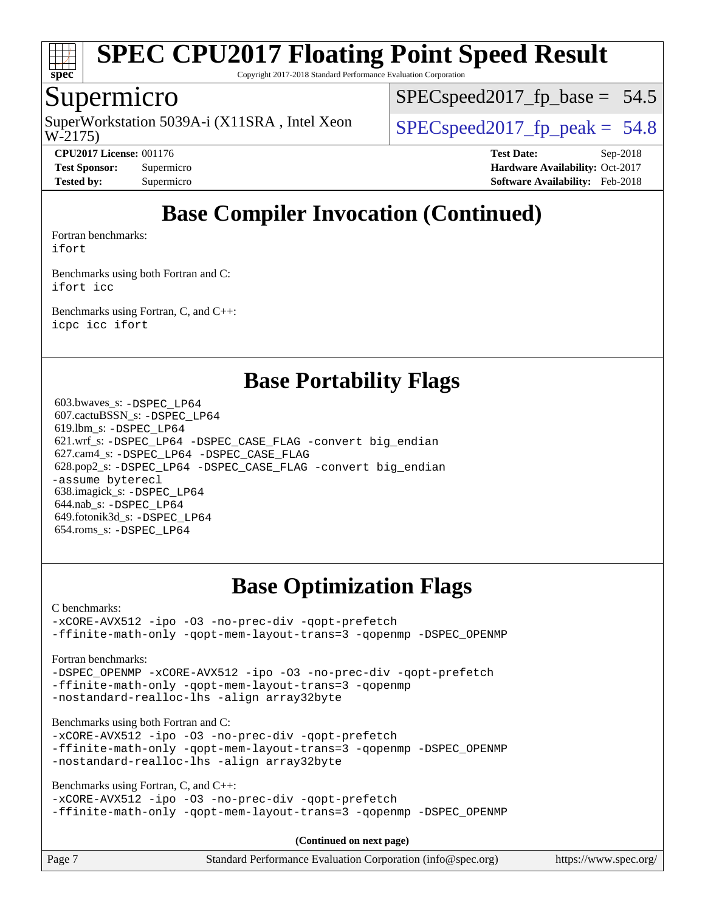

Copyright 2017-2018 Standard Performance Evaluation Corporation

### Supermicro

W-2175) SuperWorkstation 5039A-i (X11SRA, Intel Xeon  $\big|$  SPECspeed2017 fp\_peak = 54.8

 $SPECspeed2017_fp\_base = 54.5$ 

**[CPU2017 License:](http://www.spec.org/auto/cpu2017/Docs/result-fields.html#CPU2017License)** 001176 **[Test Date:](http://www.spec.org/auto/cpu2017/Docs/result-fields.html#TestDate)** Sep-2018 **[Test Sponsor:](http://www.spec.org/auto/cpu2017/Docs/result-fields.html#TestSponsor)** Supermicro **[Hardware Availability:](http://www.spec.org/auto/cpu2017/Docs/result-fields.html#HardwareAvailability)** Oct-2017 **[Tested by:](http://www.spec.org/auto/cpu2017/Docs/result-fields.html#Testedby)** Supermicro **[Software Availability:](http://www.spec.org/auto/cpu2017/Docs/result-fields.html#SoftwareAvailability)** Feb-2018

## **[Base Compiler Invocation \(Continued\)](http://www.spec.org/auto/cpu2017/Docs/result-fields.html#BaseCompilerInvocation)**

[Fortran benchmarks](http://www.spec.org/auto/cpu2017/Docs/result-fields.html#Fortranbenchmarks):

[ifort](http://www.spec.org/cpu2017/results/res2018q4/cpu2017-20181002-09063.flags.html#user_FCbase_intel_ifort_18.0_8111460550e3ca792625aed983ce982f94888b8b503583aa7ba2b8303487b4d8a21a13e7191a45c5fd58ff318f48f9492884d4413fa793fd88dd292cad7027ca)

[Benchmarks using both Fortran and C](http://www.spec.org/auto/cpu2017/Docs/result-fields.html#BenchmarksusingbothFortranandC): [ifort](http://www.spec.org/cpu2017/results/res2018q4/cpu2017-20181002-09063.flags.html#user_CC_FCbase_intel_ifort_18.0_8111460550e3ca792625aed983ce982f94888b8b503583aa7ba2b8303487b4d8a21a13e7191a45c5fd58ff318f48f9492884d4413fa793fd88dd292cad7027ca) [icc](http://www.spec.org/cpu2017/results/res2018q4/cpu2017-20181002-09063.flags.html#user_CC_FCbase_intel_icc_18.0_66fc1ee009f7361af1fbd72ca7dcefbb700085f36577c54f309893dd4ec40d12360134090235512931783d35fd58c0460139e722d5067c5574d8eaf2b3e37e92)

[Benchmarks using Fortran, C, and C++:](http://www.spec.org/auto/cpu2017/Docs/result-fields.html#BenchmarksusingFortranCandCXX) [icpc](http://www.spec.org/cpu2017/results/res2018q4/cpu2017-20181002-09063.flags.html#user_CC_CXX_FCbase_intel_icpc_18.0_c510b6838c7f56d33e37e94d029a35b4a7bccf4766a728ee175e80a419847e808290a9b78be685c44ab727ea267ec2f070ec5dc83b407c0218cded6866a35d07) [icc](http://www.spec.org/cpu2017/results/res2018q4/cpu2017-20181002-09063.flags.html#user_CC_CXX_FCbase_intel_icc_18.0_66fc1ee009f7361af1fbd72ca7dcefbb700085f36577c54f309893dd4ec40d12360134090235512931783d35fd58c0460139e722d5067c5574d8eaf2b3e37e92) [ifort](http://www.spec.org/cpu2017/results/res2018q4/cpu2017-20181002-09063.flags.html#user_CC_CXX_FCbase_intel_ifort_18.0_8111460550e3ca792625aed983ce982f94888b8b503583aa7ba2b8303487b4d8a21a13e7191a45c5fd58ff318f48f9492884d4413fa793fd88dd292cad7027ca)

### **[Base Portability Flags](http://www.spec.org/auto/cpu2017/Docs/result-fields.html#BasePortabilityFlags)**

 603.bwaves\_s: [-DSPEC\\_LP64](http://www.spec.org/cpu2017/results/res2018q4/cpu2017-20181002-09063.flags.html#suite_basePORTABILITY603_bwaves_s_DSPEC_LP64) 607.cactuBSSN\_s: [-DSPEC\\_LP64](http://www.spec.org/cpu2017/results/res2018q4/cpu2017-20181002-09063.flags.html#suite_basePORTABILITY607_cactuBSSN_s_DSPEC_LP64) 619.lbm\_s: [-DSPEC\\_LP64](http://www.spec.org/cpu2017/results/res2018q4/cpu2017-20181002-09063.flags.html#suite_basePORTABILITY619_lbm_s_DSPEC_LP64) 621.wrf\_s: [-DSPEC\\_LP64](http://www.spec.org/cpu2017/results/res2018q4/cpu2017-20181002-09063.flags.html#suite_basePORTABILITY621_wrf_s_DSPEC_LP64) [-DSPEC\\_CASE\\_FLAG](http://www.spec.org/cpu2017/results/res2018q4/cpu2017-20181002-09063.flags.html#b621.wrf_s_baseCPORTABILITY_DSPEC_CASE_FLAG) [-convert big\\_endian](http://www.spec.org/cpu2017/results/res2018q4/cpu2017-20181002-09063.flags.html#user_baseFPORTABILITY621_wrf_s_convert_big_endian_c3194028bc08c63ac5d04de18c48ce6d347e4e562e8892b8bdbdc0214820426deb8554edfa529a3fb25a586e65a3d812c835984020483e7e73212c4d31a38223) 627.cam4\_s: [-DSPEC\\_LP64](http://www.spec.org/cpu2017/results/res2018q4/cpu2017-20181002-09063.flags.html#suite_basePORTABILITY627_cam4_s_DSPEC_LP64) [-DSPEC\\_CASE\\_FLAG](http://www.spec.org/cpu2017/results/res2018q4/cpu2017-20181002-09063.flags.html#b627.cam4_s_baseCPORTABILITY_DSPEC_CASE_FLAG) 628.pop2\_s: [-DSPEC\\_LP64](http://www.spec.org/cpu2017/results/res2018q4/cpu2017-20181002-09063.flags.html#suite_basePORTABILITY628_pop2_s_DSPEC_LP64) [-DSPEC\\_CASE\\_FLAG](http://www.spec.org/cpu2017/results/res2018q4/cpu2017-20181002-09063.flags.html#b628.pop2_s_baseCPORTABILITY_DSPEC_CASE_FLAG) [-convert big\\_endian](http://www.spec.org/cpu2017/results/res2018q4/cpu2017-20181002-09063.flags.html#user_baseFPORTABILITY628_pop2_s_convert_big_endian_c3194028bc08c63ac5d04de18c48ce6d347e4e562e8892b8bdbdc0214820426deb8554edfa529a3fb25a586e65a3d812c835984020483e7e73212c4d31a38223) [-assume byterecl](http://www.spec.org/cpu2017/results/res2018q4/cpu2017-20181002-09063.flags.html#user_baseFPORTABILITY628_pop2_s_assume_byterecl_7e47d18b9513cf18525430bbf0f2177aa9bf368bc7a059c09b2c06a34b53bd3447c950d3f8d6c70e3faf3a05c8557d66a5798b567902e8849adc142926523472) 638.imagick\_s: [-DSPEC\\_LP64](http://www.spec.org/cpu2017/results/res2018q4/cpu2017-20181002-09063.flags.html#suite_basePORTABILITY638_imagick_s_DSPEC_LP64) 644.nab\_s: [-DSPEC\\_LP64](http://www.spec.org/cpu2017/results/res2018q4/cpu2017-20181002-09063.flags.html#suite_basePORTABILITY644_nab_s_DSPEC_LP64) 649.fotonik3d\_s: [-DSPEC\\_LP64](http://www.spec.org/cpu2017/results/res2018q4/cpu2017-20181002-09063.flags.html#suite_basePORTABILITY649_fotonik3d_s_DSPEC_LP64) 654.roms\_s: [-DSPEC\\_LP64](http://www.spec.org/cpu2017/results/res2018q4/cpu2017-20181002-09063.flags.html#suite_basePORTABILITY654_roms_s_DSPEC_LP64)

## **[Base Optimization Flags](http://www.spec.org/auto/cpu2017/Docs/result-fields.html#BaseOptimizationFlags)**

[C benchmarks](http://www.spec.org/auto/cpu2017/Docs/result-fields.html#Cbenchmarks):

[-xCORE-AVX512](http://www.spec.org/cpu2017/results/res2018q4/cpu2017-20181002-09063.flags.html#user_CCbase_f-xCORE-AVX512) [-ipo](http://www.spec.org/cpu2017/results/res2018q4/cpu2017-20181002-09063.flags.html#user_CCbase_f-ipo) [-O3](http://www.spec.org/cpu2017/results/res2018q4/cpu2017-20181002-09063.flags.html#user_CCbase_f-O3) [-no-prec-div](http://www.spec.org/cpu2017/results/res2018q4/cpu2017-20181002-09063.flags.html#user_CCbase_f-no-prec-div) [-qopt-prefetch](http://www.spec.org/cpu2017/results/res2018q4/cpu2017-20181002-09063.flags.html#user_CCbase_f-qopt-prefetch) [-ffinite-math-only](http://www.spec.org/cpu2017/results/res2018q4/cpu2017-20181002-09063.flags.html#user_CCbase_f_finite_math_only_cb91587bd2077682c4b38af759c288ed7c732db004271a9512da14a4f8007909a5f1427ecbf1a0fb78ff2a814402c6114ac565ca162485bbcae155b5e4258871) [-qopt-mem-layout-trans=3](http://www.spec.org/cpu2017/results/res2018q4/cpu2017-20181002-09063.flags.html#user_CCbase_f-qopt-mem-layout-trans_de80db37974c74b1f0e20d883f0b675c88c3b01e9d123adea9b28688d64333345fb62bc4a798493513fdb68f60282f9a726aa07f478b2f7113531aecce732043) [-qopenmp](http://www.spec.org/cpu2017/results/res2018q4/cpu2017-20181002-09063.flags.html#user_CCbase_qopenmp_16be0c44f24f464004c6784a7acb94aca937f053568ce72f94b139a11c7c168634a55f6653758ddd83bcf7b8463e8028bb0b48b77bcddc6b78d5d95bb1df2967) [-DSPEC\\_OPENMP](http://www.spec.org/cpu2017/results/res2018q4/cpu2017-20181002-09063.flags.html#suite_CCbase_DSPEC_OPENMP)

[Fortran benchmarks](http://www.spec.org/auto/cpu2017/Docs/result-fields.html#Fortranbenchmarks):

[-DSPEC\\_OPENMP](http://www.spec.org/cpu2017/results/res2018q4/cpu2017-20181002-09063.flags.html#suite_FCbase_DSPEC_OPENMP) [-xCORE-AVX512](http://www.spec.org/cpu2017/results/res2018q4/cpu2017-20181002-09063.flags.html#user_FCbase_f-xCORE-AVX512) [-ipo](http://www.spec.org/cpu2017/results/res2018q4/cpu2017-20181002-09063.flags.html#user_FCbase_f-ipo) [-O3](http://www.spec.org/cpu2017/results/res2018q4/cpu2017-20181002-09063.flags.html#user_FCbase_f-O3) [-no-prec-div](http://www.spec.org/cpu2017/results/res2018q4/cpu2017-20181002-09063.flags.html#user_FCbase_f-no-prec-div) [-qopt-prefetch](http://www.spec.org/cpu2017/results/res2018q4/cpu2017-20181002-09063.flags.html#user_FCbase_f-qopt-prefetch) [-ffinite-math-only](http://www.spec.org/cpu2017/results/res2018q4/cpu2017-20181002-09063.flags.html#user_FCbase_f_finite_math_only_cb91587bd2077682c4b38af759c288ed7c732db004271a9512da14a4f8007909a5f1427ecbf1a0fb78ff2a814402c6114ac565ca162485bbcae155b5e4258871) [-qopt-mem-layout-trans=3](http://www.spec.org/cpu2017/results/res2018q4/cpu2017-20181002-09063.flags.html#user_FCbase_f-qopt-mem-layout-trans_de80db37974c74b1f0e20d883f0b675c88c3b01e9d123adea9b28688d64333345fb62bc4a798493513fdb68f60282f9a726aa07f478b2f7113531aecce732043) [-qopenmp](http://www.spec.org/cpu2017/results/res2018q4/cpu2017-20181002-09063.flags.html#user_FCbase_qopenmp_16be0c44f24f464004c6784a7acb94aca937f053568ce72f94b139a11c7c168634a55f6653758ddd83bcf7b8463e8028bb0b48b77bcddc6b78d5d95bb1df2967) [-nostandard-realloc-lhs](http://www.spec.org/cpu2017/results/res2018q4/cpu2017-20181002-09063.flags.html#user_FCbase_f_2003_std_realloc_82b4557e90729c0f113870c07e44d33d6f5a304b4f63d4c15d2d0f1fab99f5daaed73bdb9275d9ae411527f28b936061aa8b9c8f2d63842963b95c9dd6426b8a) [-align array32byte](http://www.spec.org/cpu2017/results/res2018q4/cpu2017-20181002-09063.flags.html#user_FCbase_align_array32byte_b982fe038af199962ba9a80c053b8342c548c85b40b8e86eb3cc33dee0d7986a4af373ac2d51c3f7cf710a18d62fdce2948f201cd044323541f22fc0fffc51b6)

[Benchmarks using both Fortran and C](http://www.spec.org/auto/cpu2017/Docs/result-fields.html#BenchmarksusingbothFortranandC):

[-xCORE-AVX512](http://www.spec.org/cpu2017/results/res2018q4/cpu2017-20181002-09063.flags.html#user_CC_FCbase_f-xCORE-AVX512) [-ipo](http://www.spec.org/cpu2017/results/res2018q4/cpu2017-20181002-09063.flags.html#user_CC_FCbase_f-ipo) [-O3](http://www.spec.org/cpu2017/results/res2018q4/cpu2017-20181002-09063.flags.html#user_CC_FCbase_f-O3) [-no-prec-div](http://www.spec.org/cpu2017/results/res2018q4/cpu2017-20181002-09063.flags.html#user_CC_FCbase_f-no-prec-div) [-qopt-prefetch](http://www.spec.org/cpu2017/results/res2018q4/cpu2017-20181002-09063.flags.html#user_CC_FCbase_f-qopt-prefetch) [-ffinite-math-only](http://www.spec.org/cpu2017/results/res2018q4/cpu2017-20181002-09063.flags.html#user_CC_FCbase_f_finite_math_only_cb91587bd2077682c4b38af759c288ed7c732db004271a9512da14a4f8007909a5f1427ecbf1a0fb78ff2a814402c6114ac565ca162485bbcae155b5e4258871) [-qopt-mem-layout-trans=3](http://www.spec.org/cpu2017/results/res2018q4/cpu2017-20181002-09063.flags.html#user_CC_FCbase_f-qopt-mem-layout-trans_de80db37974c74b1f0e20d883f0b675c88c3b01e9d123adea9b28688d64333345fb62bc4a798493513fdb68f60282f9a726aa07f478b2f7113531aecce732043) [-qopenmp](http://www.spec.org/cpu2017/results/res2018q4/cpu2017-20181002-09063.flags.html#user_CC_FCbase_qopenmp_16be0c44f24f464004c6784a7acb94aca937f053568ce72f94b139a11c7c168634a55f6653758ddd83bcf7b8463e8028bb0b48b77bcddc6b78d5d95bb1df2967) [-DSPEC\\_OPENMP](http://www.spec.org/cpu2017/results/res2018q4/cpu2017-20181002-09063.flags.html#suite_CC_FCbase_DSPEC_OPENMP) [-nostandard-realloc-lhs](http://www.spec.org/cpu2017/results/res2018q4/cpu2017-20181002-09063.flags.html#user_CC_FCbase_f_2003_std_realloc_82b4557e90729c0f113870c07e44d33d6f5a304b4f63d4c15d2d0f1fab99f5daaed73bdb9275d9ae411527f28b936061aa8b9c8f2d63842963b95c9dd6426b8a) [-align array32byte](http://www.spec.org/cpu2017/results/res2018q4/cpu2017-20181002-09063.flags.html#user_CC_FCbase_align_array32byte_b982fe038af199962ba9a80c053b8342c548c85b40b8e86eb3cc33dee0d7986a4af373ac2d51c3f7cf710a18d62fdce2948f201cd044323541f22fc0fffc51b6)

[Benchmarks using Fortran, C, and C++:](http://www.spec.org/auto/cpu2017/Docs/result-fields.html#BenchmarksusingFortranCandCXX)

```
-xCORE-AVX512 -ipo -O3 -no-prec-div -qopt-prefetch
-ffinite-math-only -qopt-mem-layout-trans=3 -qopenmp -DSPEC_OPENMP
```
**(Continued on next page)**

| Page 7<br>Standard Performance Evaluation Corporation (info@spec.org)<br>https://www.spec.org/ |
|------------------------------------------------------------------------------------------------|
|------------------------------------------------------------------------------------------------|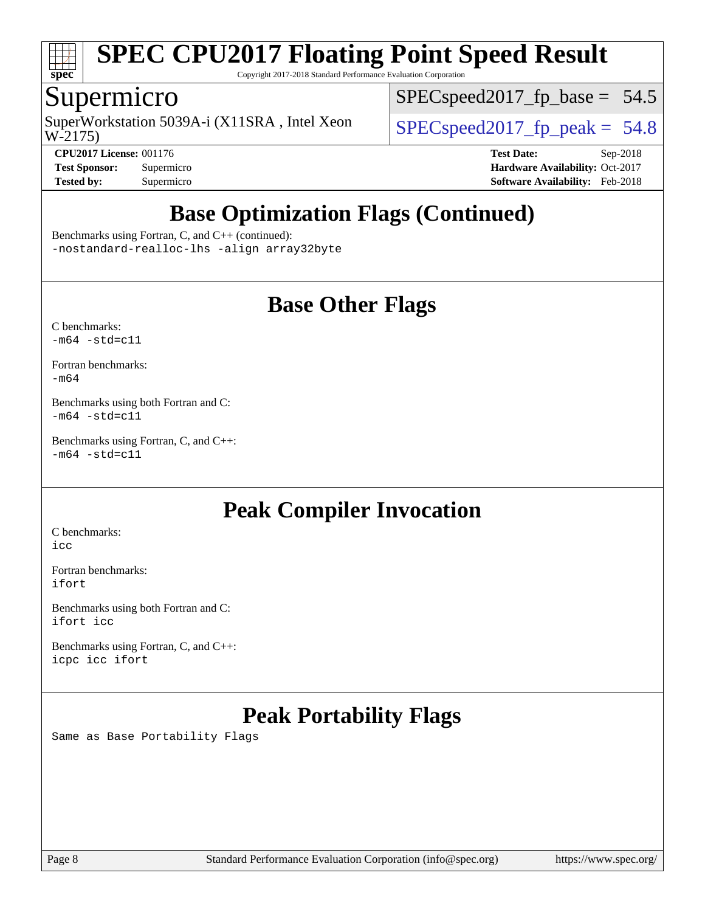

Copyright 2017-2018 Standard Performance Evaluation Corporation

## Supermicro

W-2175) SuperWorkstation 5039A-i (X11SRA, Intel Xeon  $\big|$  [SPECspeed2017\\_fp\\_peak =](http://www.spec.org/auto/cpu2017/Docs/result-fields.html#SPECspeed2017fppeak) 54.8

[SPECspeed2017\\_fp\\_base =](http://www.spec.org/auto/cpu2017/Docs/result-fields.html#SPECspeed2017fpbase) 54.5

**[Tested by:](http://www.spec.org/auto/cpu2017/Docs/result-fields.html#Testedby)** Supermicro **[Software Availability:](http://www.spec.org/auto/cpu2017/Docs/result-fields.html#SoftwareAvailability)** Feb-2018

**[CPU2017 License:](http://www.spec.org/auto/cpu2017/Docs/result-fields.html#CPU2017License)** 001176 **[Test Date:](http://www.spec.org/auto/cpu2017/Docs/result-fields.html#TestDate)** Sep-2018 **[Test Sponsor:](http://www.spec.org/auto/cpu2017/Docs/result-fields.html#TestSponsor)** Supermicro **[Hardware Availability:](http://www.spec.org/auto/cpu2017/Docs/result-fields.html#HardwareAvailability)** Oct-2017

## **[Base Optimization Flags \(Continued\)](http://www.spec.org/auto/cpu2017/Docs/result-fields.html#BaseOptimizationFlags)**

[Benchmarks using Fortran, C, and C++](http://www.spec.org/auto/cpu2017/Docs/result-fields.html#BenchmarksusingFortranCandCXX) (continued): [-nostandard-realloc-lhs](http://www.spec.org/cpu2017/results/res2018q4/cpu2017-20181002-09063.flags.html#user_CC_CXX_FCbase_f_2003_std_realloc_82b4557e90729c0f113870c07e44d33d6f5a304b4f63d4c15d2d0f1fab99f5daaed73bdb9275d9ae411527f28b936061aa8b9c8f2d63842963b95c9dd6426b8a) [-align array32byte](http://www.spec.org/cpu2017/results/res2018q4/cpu2017-20181002-09063.flags.html#user_CC_CXX_FCbase_align_array32byte_b982fe038af199962ba9a80c053b8342c548c85b40b8e86eb3cc33dee0d7986a4af373ac2d51c3f7cf710a18d62fdce2948f201cd044323541f22fc0fffc51b6)

### **[Base Other Flags](http://www.spec.org/auto/cpu2017/Docs/result-fields.html#BaseOtherFlags)**

[C benchmarks](http://www.spec.org/auto/cpu2017/Docs/result-fields.html#Cbenchmarks):  $-m64 - std= c11$  $-m64 - std= c11$ 

[Fortran benchmarks](http://www.spec.org/auto/cpu2017/Docs/result-fields.html#Fortranbenchmarks): [-m64](http://www.spec.org/cpu2017/results/res2018q4/cpu2017-20181002-09063.flags.html#user_FCbase_intel_intel64_18.0_af43caccfc8ded86e7699f2159af6efc7655f51387b94da716254467f3c01020a5059329e2569e4053f409e7c9202a7efc638f7a6d1ffb3f52dea4a3e31d82ab)

[Benchmarks using both Fortran and C](http://www.spec.org/auto/cpu2017/Docs/result-fields.html#BenchmarksusingbothFortranandC):  $-m64 - std= c11$  $-m64 - std= c11$ 

[Benchmarks using Fortran, C, and C++:](http://www.spec.org/auto/cpu2017/Docs/result-fields.html#BenchmarksusingFortranCandCXX)  $-m64 - std = c11$  $-m64 - std = c11$ 

## **[Peak Compiler Invocation](http://www.spec.org/auto/cpu2017/Docs/result-fields.html#PeakCompilerInvocation)**

[C benchmarks](http://www.spec.org/auto/cpu2017/Docs/result-fields.html#Cbenchmarks): [icc](http://www.spec.org/cpu2017/results/res2018q4/cpu2017-20181002-09063.flags.html#user_CCpeak_intel_icc_18.0_66fc1ee009f7361af1fbd72ca7dcefbb700085f36577c54f309893dd4ec40d12360134090235512931783d35fd58c0460139e722d5067c5574d8eaf2b3e37e92)

[Fortran benchmarks](http://www.spec.org/auto/cpu2017/Docs/result-fields.html#Fortranbenchmarks): [ifort](http://www.spec.org/cpu2017/results/res2018q4/cpu2017-20181002-09063.flags.html#user_FCpeak_intel_ifort_18.0_8111460550e3ca792625aed983ce982f94888b8b503583aa7ba2b8303487b4d8a21a13e7191a45c5fd58ff318f48f9492884d4413fa793fd88dd292cad7027ca)

[Benchmarks using both Fortran and C](http://www.spec.org/auto/cpu2017/Docs/result-fields.html#BenchmarksusingbothFortranandC): [ifort](http://www.spec.org/cpu2017/results/res2018q4/cpu2017-20181002-09063.flags.html#user_CC_FCpeak_intel_ifort_18.0_8111460550e3ca792625aed983ce982f94888b8b503583aa7ba2b8303487b4d8a21a13e7191a45c5fd58ff318f48f9492884d4413fa793fd88dd292cad7027ca) [icc](http://www.spec.org/cpu2017/results/res2018q4/cpu2017-20181002-09063.flags.html#user_CC_FCpeak_intel_icc_18.0_66fc1ee009f7361af1fbd72ca7dcefbb700085f36577c54f309893dd4ec40d12360134090235512931783d35fd58c0460139e722d5067c5574d8eaf2b3e37e92)

[Benchmarks using Fortran, C, and C++:](http://www.spec.org/auto/cpu2017/Docs/result-fields.html#BenchmarksusingFortranCandCXX) [icpc](http://www.spec.org/cpu2017/results/res2018q4/cpu2017-20181002-09063.flags.html#user_CC_CXX_FCpeak_intel_icpc_18.0_c510b6838c7f56d33e37e94d029a35b4a7bccf4766a728ee175e80a419847e808290a9b78be685c44ab727ea267ec2f070ec5dc83b407c0218cded6866a35d07) [icc](http://www.spec.org/cpu2017/results/res2018q4/cpu2017-20181002-09063.flags.html#user_CC_CXX_FCpeak_intel_icc_18.0_66fc1ee009f7361af1fbd72ca7dcefbb700085f36577c54f309893dd4ec40d12360134090235512931783d35fd58c0460139e722d5067c5574d8eaf2b3e37e92) [ifort](http://www.spec.org/cpu2017/results/res2018q4/cpu2017-20181002-09063.flags.html#user_CC_CXX_FCpeak_intel_ifort_18.0_8111460550e3ca792625aed983ce982f94888b8b503583aa7ba2b8303487b4d8a21a13e7191a45c5fd58ff318f48f9492884d4413fa793fd88dd292cad7027ca)

## **[Peak Portability Flags](http://www.spec.org/auto/cpu2017/Docs/result-fields.html#PeakPortabilityFlags)**

Same as Base Portability Flags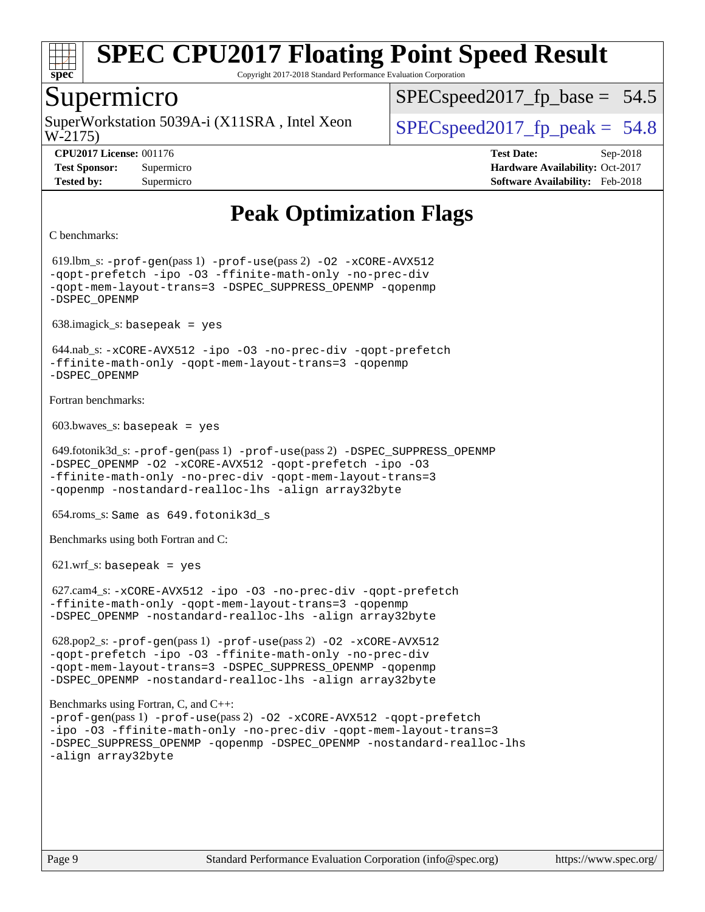

Copyright 2017-2018 Standard Performance Evaluation Corporation

### Supermicro

W-2175) SuperWorkstation 5039A-i (X11SRA, Intel Xeon  $\vert$  SPECspeed2017 fp\_peak = 54.8

 $SPECspeed2017_fp\_base = 54.5$ 

**[CPU2017 License:](http://www.spec.org/auto/cpu2017/Docs/result-fields.html#CPU2017License)** 001176 **[Test Date:](http://www.spec.org/auto/cpu2017/Docs/result-fields.html#TestDate)** Sep-2018 **[Test Sponsor:](http://www.spec.org/auto/cpu2017/Docs/result-fields.html#TestSponsor)** Supermicro **[Hardware Availability:](http://www.spec.org/auto/cpu2017/Docs/result-fields.html#HardwareAvailability)** Oct-2017 **[Tested by:](http://www.spec.org/auto/cpu2017/Docs/result-fields.html#Testedby)** Supermicro **[Software Availability:](http://www.spec.org/auto/cpu2017/Docs/result-fields.html#SoftwareAvailability)** Feb-2018

## **[Peak Optimization Flags](http://www.spec.org/auto/cpu2017/Docs/result-fields.html#PeakOptimizationFlags)**

```
C benchmarks:
```
 619.lbm\_s: [-prof-gen](http://www.spec.org/cpu2017/results/res2018q4/cpu2017-20181002-09063.flags.html#user_peakPASS1_CFLAGSPASS1_LDFLAGS619_lbm_s_prof_gen_5aa4926d6013ddb2a31985c654b3eb18169fc0c6952a63635c234f711e6e63dd76e94ad52365559451ec499a2cdb89e4dc58ba4c67ef54ca681ffbe1461d6b36)(pass 1) [-prof-use](http://www.spec.org/cpu2017/results/res2018q4/cpu2017-20181002-09063.flags.html#user_peakPASS2_CFLAGSPASS2_LDFLAGS619_lbm_s_prof_use_1a21ceae95f36a2b53c25747139a6c16ca95bd9def2a207b4f0849963b97e94f5260e30a0c64f4bb623698870e679ca08317ef8150905d41bd88c6f78df73f19)(pass 2) [-O2](http://www.spec.org/cpu2017/results/res2018q4/cpu2017-20181002-09063.flags.html#user_peakPASS1_COPTIMIZE619_lbm_s_f-O2) [-xCORE-AVX512](http://www.spec.org/cpu2017/results/res2018q4/cpu2017-20181002-09063.flags.html#user_peakPASS2_COPTIMIZE619_lbm_s_f-xCORE-AVX512) [-qopt-prefetch](http://www.spec.org/cpu2017/results/res2018q4/cpu2017-20181002-09063.flags.html#user_peakPASS1_COPTIMIZEPASS2_COPTIMIZE619_lbm_s_f-qopt-prefetch) [-ipo](http://www.spec.org/cpu2017/results/res2018q4/cpu2017-20181002-09063.flags.html#user_peakPASS2_COPTIMIZE619_lbm_s_f-ipo) [-O3](http://www.spec.org/cpu2017/results/res2018q4/cpu2017-20181002-09063.flags.html#user_peakPASS2_COPTIMIZE619_lbm_s_f-O3) [-ffinite-math-only](http://www.spec.org/cpu2017/results/res2018q4/cpu2017-20181002-09063.flags.html#user_peakPASS1_COPTIMIZEPASS2_COPTIMIZE619_lbm_s_f_finite_math_only_cb91587bd2077682c4b38af759c288ed7c732db004271a9512da14a4f8007909a5f1427ecbf1a0fb78ff2a814402c6114ac565ca162485bbcae155b5e4258871) [-no-prec-div](http://www.spec.org/cpu2017/results/res2018q4/cpu2017-20181002-09063.flags.html#user_peakPASS2_COPTIMIZE619_lbm_s_f-no-prec-div) [-qopt-mem-layout-trans=3](http://www.spec.org/cpu2017/results/res2018q4/cpu2017-20181002-09063.flags.html#user_peakPASS1_COPTIMIZEPASS2_COPTIMIZE619_lbm_s_f-qopt-mem-layout-trans_de80db37974c74b1f0e20d883f0b675c88c3b01e9d123adea9b28688d64333345fb62bc4a798493513fdb68f60282f9a726aa07f478b2f7113531aecce732043) [-DSPEC\\_SUPPRESS\\_OPENMP](http://www.spec.org/cpu2017/results/res2018q4/cpu2017-20181002-09063.flags.html#suite_peakPASS1_COPTIMIZE619_lbm_s_DSPEC_SUPPRESS_OPENMP) [-qopenmp](http://www.spec.org/cpu2017/results/res2018q4/cpu2017-20181002-09063.flags.html#user_peakPASS2_COPTIMIZE619_lbm_s_qopenmp_16be0c44f24f464004c6784a7acb94aca937f053568ce72f94b139a11c7c168634a55f6653758ddd83bcf7b8463e8028bb0b48b77bcddc6b78d5d95bb1df2967) [-DSPEC\\_OPENMP](http://www.spec.org/cpu2017/results/res2018q4/cpu2017-20181002-09063.flags.html#suite_peakPASS2_COPTIMIZE619_lbm_s_DSPEC_OPENMP) 638.imagick\_s: basepeak = yes 644.nab\_s: [-xCORE-AVX512](http://www.spec.org/cpu2017/results/res2018q4/cpu2017-20181002-09063.flags.html#user_peakCOPTIMIZE644_nab_s_f-xCORE-AVX512) [-ipo](http://www.spec.org/cpu2017/results/res2018q4/cpu2017-20181002-09063.flags.html#user_peakCOPTIMIZE644_nab_s_f-ipo) [-O3](http://www.spec.org/cpu2017/results/res2018q4/cpu2017-20181002-09063.flags.html#user_peakCOPTIMIZE644_nab_s_f-O3) [-no-prec-div](http://www.spec.org/cpu2017/results/res2018q4/cpu2017-20181002-09063.flags.html#user_peakCOPTIMIZE644_nab_s_f-no-prec-div) [-qopt-prefetch](http://www.spec.org/cpu2017/results/res2018q4/cpu2017-20181002-09063.flags.html#user_peakCOPTIMIZE644_nab_s_f-qopt-prefetch) [-ffinite-math-only](http://www.spec.org/cpu2017/results/res2018q4/cpu2017-20181002-09063.flags.html#user_peakCOPTIMIZE644_nab_s_f_finite_math_only_cb91587bd2077682c4b38af759c288ed7c732db004271a9512da14a4f8007909a5f1427ecbf1a0fb78ff2a814402c6114ac565ca162485bbcae155b5e4258871) [-qopt-mem-layout-trans=3](http://www.spec.org/cpu2017/results/res2018q4/cpu2017-20181002-09063.flags.html#user_peakCOPTIMIZE644_nab_s_f-qopt-mem-layout-trans_de80db37974c74b1f0e20d883f0b675c88c3b01e9d123adea9b28688d64333345fb62bc4a798493513fdb68f60282f9a726aa07f478b2f7113531aecce732043) [-qopenmp](http://www.spec.org/cpu2017/results/res2018q4/cpu2017-20181002-09063.flags.html#user_peakCOPTIMIZE644_nab_s_qopenmp_16be0c44f24f464004c6784a7acb94aca937f053568ce72f94b139a11c7c168634a55f6653758ddd83bcf7b8463e8028bb0b48b77bcddc6b78d5d95bb1df2967) [-DSPEC\\_OPENMP](http://www.spec.org/cpu2017/results/res2018q4/cpu2017-20181002-09063.flags.html#suite_peakCOPTIMIZE644_nab_s_DSPEC_OPENMP) [Fortran benchmarks](http://www.spec.org/auto/cpu2017/Docs/result-fields.html#Fortranbenchmarks):  $603.bwaves$  s: basepeak = yes 649.fotonik3d\_s: [-prof-gen](http://www.spec.org/cpu2017/results/res2018q4/cpu2017-20181002-09063.flags.html#user_peakPASS1_FFLAGSPASS1_LDFLAGS649_fotonik3d_s_prof_gen_5aa4926d6013ddb2a31985c654b3eb18169fc0c6952a63635c234f711e6e63dd76e94ad52365559451ec499a2cdb89e4dc58ba4c67ef54ca681ffbe1461d6b36)(pass 1) [-prof-use](http://www.spec.org/cpu2017/results/res2018q4/cpu2017-20181002-09063.flags.html#user_peakPASS2_FFLAGSPASS2_LDFLAGS649_fotonik3d_s_prof_use_1a21ceae95f36a2b53c25747139a6c16ca95bd9def2a207b4f0849963b97e94f5260e30a0c64f4bb623698870e679ca08317ef8150905d41bd88c6f78df73f19)(pass 2) [-DSPEC\\_SUPPRESS\\_OPENMP](http://www.spec.org/cpu2017/results/res2018q4/cpu2017-20181002-09063.flags.html#suite_peakPASS1_FOPTIMIZE649_fotonik3d_s_DSPEC_SUPPRESS_OPENMP) -DSPEC OPENMP [-O2](http://www.spec.org/cpu2017/results/res2018q4/cpu2017-20181002-09063.flags.html#user_peakPASS1_FOPTIMIZE649_fotonik3d_s_f-O2) [-xCORE-AVX512](http://www.spec.org/cpu2017/results/res2018q4/cpu2017-20181002-09063.flags.html#user_peakPASS2_FOPTIMIZE649_fotonik3d_s_f-xCORE-AVX512) [-qopt-prefetch](http://www.spec.org/cpu2017/results/res2018q4/cpu2017-20181002-09063.flags.html#user_peakPASS1_FOPTIMIZEPASS2_FOPTIMIZE649_fotonik3d_s_f-qopt-prefetch) [-ipo](http://www.spec.org/cpu2017/results/res2018q4/cpu2017-20181002-09063.flags.html#user_peakPASS2_FOPTIMIZE649_fotonik3d_s_f-ipo) [-O3](http://www.spec.org/cpu2017/results/res2018q4/cpu2017-20181002-09063.flags.html#user_peakPASS2_FOPTIMIZE649_fotonik3d_s_f-O3) [-ffinite-math-only](http://www.spec.org/cpu2017/results/res2018q4/cpu2017-20181002-09063.flags.html#user_peakPASS1_FOPTIMIZEPASS2_FOPTIMIZE649_fotonik3d_s_f_finite_math_only_cb91587bd2077682c4b38af759c288ed7c732db004271a9512da14a4f8007909a5f1427ecbf1a0fb78ff2a814402c6114ac565ca162485bbcae155b5e4258871) [-no-prec-div](http://www.spec.org/cpu2017/results/res2018q4/cpu2017-20181002-09063.flags.html#user_peakPASS2_FOPTIMIZE649_fotonik3d_s_f-no-prec-div) [-qopt-mem-layout-trans=3](http://www.spec.org/cpu2017/results/res2018q4/cpu2017-20181002-09063.flags.html#user_peakPASS1_FOPTIMIZEPASS2_FOPTIMIZE649_fotonik3d_s_f-qopt-mem-layout-trans_de80db37974c74b1f0e20d883f0b675c88c3b01e9d123adea9b28688d64333345fb62bc4a798493513fdb68f60282f9a726aa07f478b2f7113531aecce732043) [-qopenmp](http://www.spec.org/cpu2017/results/res2018q4/cpu2017-20181002-09063.flags.html#user_peakPASS2_FOPTIMIZE649_fotonik3d_s_qopenmp_16be0c44f24f464004c6784a7acb94aca937f053568ce72f94b139a11c7c168634a55f6653758ddd83bcf7b8463e8028bb0b48b77bcddc6b78d5d95bb1df2967) [-nostandard-realloc-lhs](http://www.spec.org/cpu2017/results/res2018q4/cpu2017-20181002-09063.flags.html#user_peakEXTRA_FOPTIMIZE649_fotonik3d_s_f_2003_std_realloc_82b4557e90729c0f113870c07e44d33d6f5a304b4f63d4c15d2d0f1fab99f5daaed73bdb9275d9ae411527f28b936061aa8b9c8f2d63842963b95c9dd6426b8a) [-align array32byte](http://www.spec.org/cpu2017/results/res2018q4/cpu2017-20181002-09063.flags.html#user_peakEXTRA_FOPTIMIZE649_fotonik3d_s_align_array32byte_b982fe038af199962ba9a80c053b8342c548c85b40b8e86eb3cc33dee0d7986a4af373ac2d51c3f7cf710a18d62fdce2948f201cd044323541f22fc0fffc51b6) 654.roms\_s: Same as 649.fotonik3d\_s [Benchmarks using both Fortran and C](http://www.spec.org/auto/cpu2017/Docs/result-fields.html#BenchmarksusingbothFortranandC):  $621.wrf$  s: basepeak = yes 627.cam4\_s: [-xCORE-AVX512](http://www.spec.org/cpu2017/results/res2018q4/cpu2017-20181002-09063.flags.html#user_peakCOPTIMIZEFOPTIMIZE627_cam4_s_f-xCORE-AVX512) [-ipo](http://www.spec.org/cpu2017/results/res2018q4/cpu2017-20181002-09063.flags.html#user_peakCOPTIMIZEFOPTIMIZE627_cam4_s_f-ipo) [-O3](http://www.spec.org/cpu2017/results/res2018q4/cpu2017-20181002-09063.flags.html#user_peakCOPTIMIZEFOPTIMIZE627_cam4_s_f-O3) [-no-prec-div](http://www.spec.org/cpu2017/results/res2018q4/cpu2017-20181002-09063.flags.html#user_peakCOPTIMIZEFOPTIMIZE627_cam4_s_f-no-prec-div) [-qopt-prefetch](http://www.spec.org/cpu2017/results/res2018q4/cpu2017-20181002-09063.flags.html#user_peakCOPTIMIZEFOPTIMIZE627_cam4_s_f-qopt-prefetch) [-ffinite-math-only](http://www.spec.org/cpu2017/results/res2018q4/cpu2017-20181002-09063.flags.html#user_peakCOPTIMIZEFOPTIMIZE627_cam4_s_f_finite_math_only_cb91587bd2077682c4b38af759c288ed7c732db004271a9512da14a4f8007909a5f1427ecbf1a0fb78ff2a814402c6114ac565ca162485bbcae155b5e4258871) [-qopt-mem-layout-trans=3](http://www.spec.org/cpu2017/results/res2018q4/cpu2017-20181002-09063.flags.html#user_peakCOPTIMIZEFOPTIMIZE627_cam4_s_f-qopt-mem-layout-trans_de80db37974c74b1f0e20d883f0b675c88c3b01e9d123adea9b28688d64333345fb62bc4a798493513fdb68f60282f9a726aa07f478b2f7113531aecce732043) [-qopenmp](http://www.spec.org/cpu2017/results/res2018q4/cpu2017-20181002-09063.flags.html#user_peakCOPTIMIZEFOPTIMIZE627_cam4_s_qopenmp_16be0c44f24f464004c6784a7acb94aca937f053568ce72f94b139a11c7c168634a55f6653758ddd83bcf7b8463e8028bb0b48b77bcddc6b78d5d95bb1df2967) [-DSPEC\\_OPENMP](http://www.spec.org/cpu2017/results/res2018q4/cpu2017-20181002-09063.flags.html#suite_peakCOPTIMIZEFOPTIMIZE627_cam4_s_DSPEC_OPENMP) [-nostandard-realloc-lhs](http://www.spec.org/cpu2017/results/res2018q4/cpu2017-20181002-09063.flags.html#user_peakEXTRA_FOPTIMIZE627_cam4_s_f_2003_std_realloc_82b4557e90729c0f113870c07e44d33d6f5a304b4f63d4c15d2d0f1fab99f5daaed73bdb9275d9ae411527f28b936061aa8b9c8f2d63842963b95c9dd6426b8a) [-align array32byte](http://www.spec.org/cpu2017/results/res2018q4/cpu2017-20181002-09063.flags.html#user_peakEXTRA_FOPTIMIZE627_cam4_s_align_array32byte_b982fe038af199962ba9a80c053b8342c548c85b40b8e86eb3cc33dee0d7986a4af373ac2d51c3f7cf710a18d62fdce2948f201cd044323541f22fc0fffc51b6) 628.pop2\_s: [-prof-gen](http://www.spec.org/cpu2017/results/res2018q4/cpu2017-20181002-09063.flags.html#user_peakPASS1_CFLAGSPASS1_FFLAGSPASS1_LDFLAGS628_pop2_s_prof_gen_5aa4926d6013ddb2a31985c654b3eb18169fc0c6952a63635c234f711e6e63dd76e94ad52365559451ec499a2cdb89e4dc58ba4c67ef54ca681ffbe1461d6b36)(pass 1) [-prof-use](http://www.spec.org/cpu2017/results/res2018q4/cpu2017-20181002-09063.flags.html#user_peakPASS2_CFLAGSPASS2_FFLAGSPASS2_LDFLAGS628_pop2_s_prof_use_1a21ceae95f36a2b53c25747139a6c16ca95bd9def2a207b4f0849963b97e94f5260e30a0c64f4bb623698870e679ca08317ef8150905d41bd88c6f78df73f19)(pass 2) [-O2](http://www.spec.org/cpu2017/results/res2018q4/cpu2017-20181002-09063.flags.html#user_peakPASS1_COPTIMIZEPASS1_FOPTIMIZE628_pop2_s_f-O2) [-xCORE-AVX512](http://www.spec.org/cpu2017/results/res2018q4/cpu2017-20181002-09063.flags.html#user_peakPASS2_COPTIMIZEPASS2_FOPTIMIZE628_pop2_s_f-xCORE-AVX512) [-qopt-prefetch](http://www.spec.org/cpu2017/results/res2018q4/cpu2017-20181002-09063.flags.html#user_peakPASS1_COPTIMIZEPASS1_FOPTIMIZEPASS2_COPTIMIZEPASS2_FOPTIMIZE628_pop2_s_f-qopt-prefetch) [-ipo](http://www.spec.org/cpu2017/results/res2018q4/cpu2017-20181002-09063.flags.html#user_peakPASS2_COPTIMIZEPASS2_FOPTIMIZE628_pop2_s_f-ipo) [-O3](http://www.spec.org/cpu2017/results/res2018q4/cpu2017-20181002-09063.flags.html#user_peakPASS2_COPTIMIZEPASS2_FOPTIMIZE628_pop2_s_f-O3) [-ffinite-math-only](http://www.spec.org/cpu2017/results/res2018q4/cpu2017-20181002-09063.flags.html#user_peakPASS1_COPTIMIZEPASS1_FOPTIMIZEPASS2_COPTIMIZEPASS2_FOPTIMIZE628_pop2_s_f_finite_math_only_cb91587bd2077682c4b38af759c288ed7c732db004271a9512da14a4f8007909a5f1427ecbf1a0fb78ff2a814402c6114ac565ca162485bbcae155b5e4258871) [-no-prec-div](http://www.spec.org/cpu2017/results/res2018q4/cpu2017-20181002-09063.flags.html#user_peakPASS2_COPTIMIZEPASS2_FOPTIMIZE628_pop2_s_f-no-prec-div) [-qopt-mem-layout-trans=3](http://www.spec.org/cpu2017/results/res2018q4/cpu2017-20181002-09063.flags.html#user_peakPASS1_COPTIMIZEPASS1_FOPTIMIZEPASS2_COPTIMIZEPASS2_FOPTIMIZE628_pop2_s_f-qopt-mem-layout-trans_de80db37974c74b1f0e20d883f0b675c88c3b01e9d123adea9b28688d64333345fb62bc4a798493513fdb68f60282f9a726aa07f478b2f7113531aecce732043) [-DSPEC\\_SUPPRESS\\_OPENMP](http://www.spec.org/cpu2017/results/res2018q4/cpu2017-20181002-09063.flags.html#suite_peakPASS1_COPTIMIZEPASS1_FOPTIMIZE628_pop2_s_DSPEC_SUPPRESS_OPENMP) [-qopenmp](http://www.spec.org/cpu2017/results/res2018q4/cpu2017-20181002-09063.flags.html#user_peakPASS2_COPTIMIZEPASS2_FOPTIMIZE628_pop2_s_qopenmp_16be0c44f24f464004c6784a7acb94aca937f053568ce72f94b139a11c7c168634a55f6653758ddd83bcf7b8463e8028bb0b48b77bcddc6b78d5d95bb1df2967) [-DSPEC\\_OPENMP](http://www.spec.org/cpu2017/results/res2018q4/cpu2017-20181002-09063.flags.html#suite_peakPASS2_COPTIMIZEPASS2_FOPTIMIZE628_pop2_s_DSPEC_OPENMP) [-nostandard-realloc-lhs](http://www.spec.org/cpu2017/results/res2018q4/cpu2017-20181002-09063.flags.html#user_peakEXTRA_FOPTIMIZE628_pop2_s_f_2003_std_realloc_82b4557e90729c0f113870c07e44d33d6f5a304b4f63d4c15d2d0f1fab99f5daaed73bdb9275d9ae411527f28b936061aa8b9c8f2d63842963b95c9dd6426b8a) [-align array32byte](http://www.spec.org/cpu2017/results/res2018q4/cpu2017-20181002-09063.flags.html#user_peakEXTRA_FOPTIMIZE628_pop2_s_align_array32byte_b982fe038af199962ba9a80c053b8342c548c85b40b8e86eb3cc33dee0d7986a4af373ac2d51c3f7cf710a18d62fdce2948f201cd044323541f22fc0fffc51b6) [Benchmarks using Fortran, C, and C++](http://www.spec.org/auto/cpu2017/Docs/result-fields.html#BenchmarksusingFortranCandCXX): [-prof-gen](http://www.spec.org/cpu2017/results/res2018q4/cpu2017-20181002-09063.flags.html#user_CC_CXX_FCpeak_prof_gen_5aa4926d6013ddb2a31985c654b3eb18169fc0c6952a63635c234f711e6e63dd76e94ad52365559451ec499a2cdb89e4dc58ba4c67ef54ca681ffbe1461d6b36)(pass 1) [-prof-use](http://www.spec.org/cpu2017/results/res2018q4/cpu2017-20181002-09063.flags.html#user_CC_CXX_FCpeak_prof_use_1a21ceae95f36a2b53c25747139a6c16ca95bd9def2a207b4f0849963b97e94f5260e30a0c64f4bb623698870e679ca08317ef8150905d41bd88c6f78df73f19)(pass 2) [-O2](http://www.spec.org/cpu2017/results/res2018q4/cpu2017-20181002-09063.flags.html#user_CC_CXX_FCpeak_f-O2) [-xCORE-AVX512](http://www.spec.org/cpu2017/results/res2018q4/cpu2017-20181002-09063.flags.html#user_CC_CXX_FCpeak_f-xCORE-AVX512) [-qopt-prefetch](http://www.spec.org/cpu2017/results/res2018q4/cpu2017-20181002-09063.flags.html#user_CC_CXX_FCpeak_f-qopt-prefetch) [-ipo](http://www.spec.org/cpu2017/results/res2018q4/cpu2017-20181002-09063.flags.html#user_CC_CXX_FCpeak_f-ipo) [-O3](http://www.spec.org/cpu2017/results/res2018q4/cpu2017-20181002-09063.flags.html#user_CC_CXX_FCpeak_f-O3) [-ffinite-math-only](http://www.spec.org/cpu2017/results/res2018q4/cpu2017-20181002-09063.flags.html#user_CC_CXX_FCpeak_f_finite_math_only_cb91587bd2077682c4b38af759c288ed7c732db004271a9512da14a4f8007909a5f1427ecbf1a0fb78ff2a814402c6114ac565ca162485bbcae155b5e4258871) [-no-prec-div](http://www.spec.org/cpu2017/results/res2018q4/cpu2017-20181002-09063.flags.html#user_CC_CXX_FCpeak_f-no-prec-div) [-qopt-mem-layout-trans=3](http://www.spec.org/cpu2017/results/res2018q4/cpu2017-20181002-09063.flags.html#user_CC_CXX_FCpeak_f-qopt-mem-layout-trans_de80db37974c74b1f0e20d883f0b675c88c3b01e9d123adea9b28688d64333345fb62bc4a798493513fdb68f60282f9a726aa07f478b2f7113531aecce732043) [-DSPEC\\_SUPPRESS\\_OPENMP](http://www.spec.org/cpu2017/results/res2018q4/cpu2017-20181002-09063.flags.html#suite_CC_CXX_FCpeak_DSPEC_SUPPRESS_OPENMP) [-qopenmp](http://www.spec.org/cpu2017/results/res2018q4/cpu2017-20181002-09063.flags.html#user_CC_CXX_FCpeak_qopenmp_16be0c44f24f464004c6784a7acb94aca937f053568ce72f94b139a11c7c168634a55f6653758ddd83bcf7b8463e8028bb0b48b77bcddc6b78d5d95bb1df2967) [-DSPEC\\_OPENMP](http://www.spec.org/cpu2017/results/res2018q4/cpu2017-20181002-09063.flags.html#suite_CC_CXX_FCpeak_DSPEC_OPENMP) [-nostandard-realloc-lhs](http://www.spec.org/cpu2017/results/res2018q4/cpu2017-20181002-09063.flags.html#user_CC_CXX_FCpeak_f_2003_std_realloc_82b4557e90729c0f113870c07e44d33d6f5a304b4f63d4c15d2d0f1fab99f5daaed73bdb9275d9ae411527f28b936061aa8b9c8f2d63842963b95c9dd6426b8a) [-align array32byte](http://www.spec.org/cpu2017/results/res2018q4/cpu2017-20181002-09063.flags.html#user_CC_CXX_FCpeak_align_array32byte_b982fe038af199962ba9a80c053b8342c548c85b40b8e86eb3cc33dee0d7986a4af373ac2d51c3f7cf710a18d62fdce2948f201cd044323541f22fc0fffc51b6)